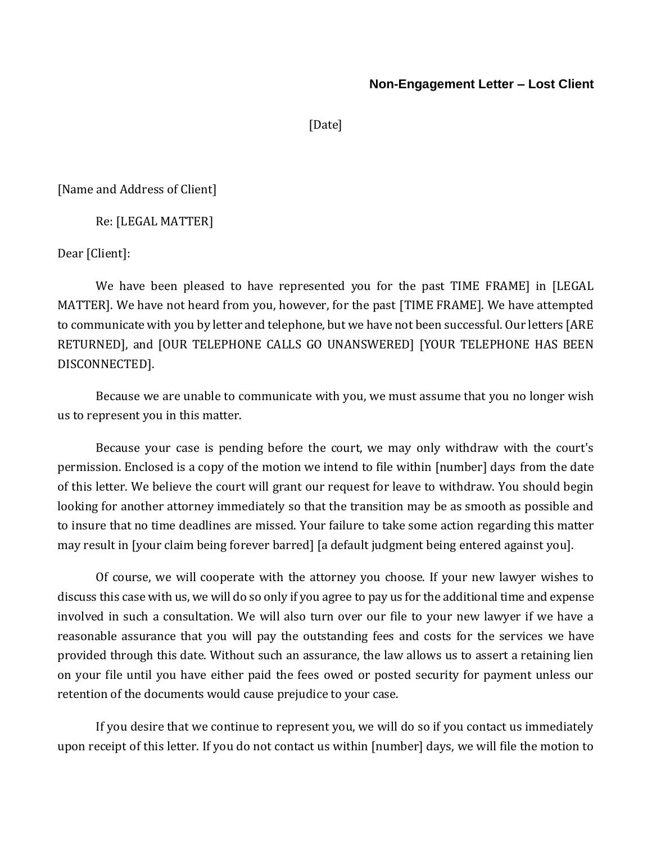## **Non-Engagement Letter – Lost Client**

[Date]

[Name and Address of Client]

Re: [LEGAL MATTER]

Dear [Client]:

We have been pleased to have represented you for the past TIME FRAME] in [LEGAL MATTER]. We have not heard from you, however, for the past [TIME FRAME]. We have attempted to communicate with you by letter and telephone, but we have not been successful. Our letters [ARE RETURNED], and [OUR TELEPHONE CALLS GO UNANSWERED] [YOUR TELEPHONE HAS BEEN DISCONNECTED].

Because we are unable to communicate with you, we must assume that you no longer wish us to represent you in this matter.

Because your case is pending before the court, we may only withdraw with the court's permission. Enclosed is a copy of the motion we intend to file within [number] days from the date of this letter. We believe the court will grant our request for leave to withdraw. You should begin looking for another attorney immediately so that the transition may be as smooth as possible and to insure that no time deadlines are missed. Your failure to take some action regarding this matter may result in [your claim being forever barred] [a default judgment being entered against you].

Of course, we will cooperate with the attorney you choose. If your new lawyer wishes to discuss this case with us, we will do so only if you agree to pay us for the additional time and expense involved in such a consultation. We will also turn over our file to your new lawyer if we have a reasonable assurance that you will pay the outstanding fees and costs for the services we have provided through this date. Without such an assurance, the law allows us to assert a retaining lien on your file until you have either paid the fees owed or posted security for payment unless our retention of the documents would cause prejudice to your case.

If you desire that we continue to represent you, we will do so if you contact us immediately upon receipt of this letter. If you do not contact us within [number] days, we will file the motion to